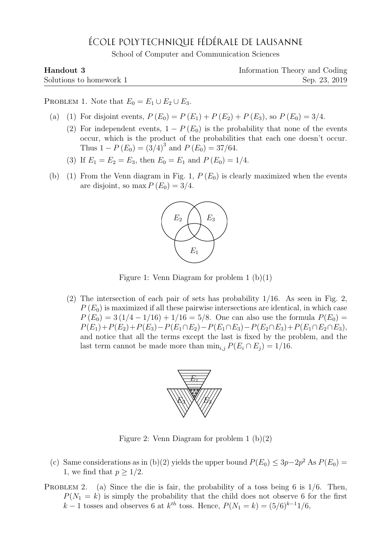## ÉCOLE POLYTECHNIQUE FÉDÉRALE DE LAUSANNE

School of Computer and Communication Sciences

| Handout 3               | Information Theory and Coding |
|-------------------------|-------------------------------|
| Solutions to homework 1 | Sep. 23, 2019                 |

PROBLEM 1. Note that  $E_0 = E_1 \cup E_2 \cup E_3$ .

- (a) (1) For disjoint events,  $P(E_0) = P(E_1) + P(E_2) + P(E_3)$ , so  $P(E_0) = 3/4$ .
	- (2) For independent events,  $1 P(E_0)$  is the probability that none of the events occur, which is the product of the probabilities that each one doesn't occur. Thus  $1 - P(E_0) = (3/4)^3$  and  $P(E_0) = 37/64$ .
	- (3) If  $E_1 = E_2 = E_3$ , then  $E_0 = E_1$  and  $P(E_0) = 1/4$ .
- (b) (1) From the Venn diagram in Fig. 1,  $P(E_0)$  is clearly maximized when the events are disjoint, so max  $P(E_0) = 3/4$ .



Figure 1: Venn Diagram for problem  $1$  (b)(1)

(2) The intersection of each pair of sets has probability  $1/16$ . As seen in Fig. 2.  $P(E_0)$  is maximized if all these pairwise intersections are identical, in which case  $P(E_0) = 3(1/4 - 1/16) + 1/16 = 5/8$ . One can also use the formula  $P(E_0) =$  $P(E_1)+P(E_2)+P(E_3)-P(E_1\cap E_2)-P(E_1\cap E_3)-P(E_2\cap E_3)+P(E_1\cap E_2\cap E_3),$ and notice that all the terms except the last is fixed by the problem, and the last term cannot be made more than  $\min_{i,j} P(E_i \cap E_j) = 1/16$ .



Figure 2: Venn Diagram for problem 1 (b)(2)

- (c) Same considerations as in (b)(2) yields the upper bound  $P(E_0) \leq 3p-2p^2$  As  $P(E_0)$ 1, we find that  $p > 1/2$ .
- PROBLEM 2. (a) Since the die is fair, the probability of a toss being 6 is  $1/6$ . Then,  $P(N_1 = k)$  is simply the probability that the child does not observe 6 for the first  $k-1$  tosses and observes 6 at  $k^{th}$  toss. Hence,  $P(N_1 = k) = (5/6)^{k-1}1/6$ ,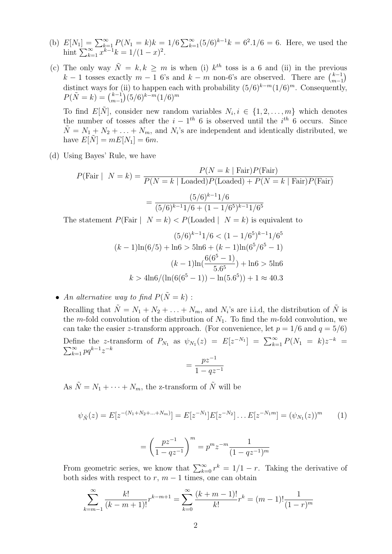- (b)  $E[N_1] = \sum_{k=1}^{\infty} P(N_1 = k)k = 1/6 \sum_{k=1}^{\infty} (5/6)^{k-1}k = 6^2.1/6 = 6$ . Here, we used the hint  $\sum_{k=1}^{\infty} x^{k-1}k = 1/(1-x)^2$ .
- (c) The only way  $\tilde{N} = k, k \geq m$  is when (i)  $k^{th}$  toss is a 6 and (ii) in the previous k − 1 tosses exactly  $m-1$  6's and  $k-m$  non-6's are observed. There are  $\binom{k-1}{m-1}$  $\binom{k-1}{m-1}$ distinct ways for (ii) to happen each with probability  $(5/6)^{k-m}(1/6)^m$ . Consequently,  $P(\tilde{N} = k) = \binom{k-1}{m-1}$  $\binom{k-1}{m-1}$ (5/6)<sup>k-m</sup>(1/6)<sup>m</sup>

To find  $E[\tilde{N}]$ , consider new random variables  $N_i, i \in \{1, 2, ..., m\}$  which denotes the number of tosses after the  $i - 1<sup>th</sup> 6$  is observed until the  $i<sup>th</sup> 6$  occurs. Since  $\tilde{N} = N_1 + N_2 + \ldots + N_m$ , and  $N_i$ 's are independent and identically distributed, we have  $E[N] = mE[N_1] = 6m$ .

(d) Using Bayes' Rule, we have

$$
P(\text{Fair} \mid N = k) = \frac{P(N = k \mid \text{Fair}) P(\text{Fair})}{P(N = k \mid \text{Loaded}) P(\text{Loaded}) + P(N = k \mid \text{Fair}) P(\text{Fair})}
$$

$$
= \frac{(5/6)^{k-1} 1/6}{(5/6)^{k-1} 1/6 + (1 - 1/6^5)^{k-1} 1/6^5}
$$

The statement  $P(\text{Fair} \mid N = k) < P(\text{Loaded} \mid N = k)$  is equivalent to

$$
(5/6)^{k-1}1/6 < (1 - 1/6^5)^{k-1}1/6^5
$$
\n
$$
(k-1)\ln(6/5) + \ln(6) > 5\ln(6) + (k-1)\ln(6^5/6^5 - 1)
$$
\n
$$
(k-1)\ln\left(\frac{6(6^5 - 1)}{5.6^5}\right) + \ln(6) > 5\ln(6)
$$
\n
$$
k > 4\ln(6/(\ln(6(6^5 - 1)) - \ln(5.6^5)) + 1 \approx 40.3
$$

• An alternative way to find  $P(\tilde{N} = k)$ :

Recalling that  $\tilde{N} = N_1 + N_2 + \ldots + N_m$ , and  $N_i$ 's are i.i.d, the distribution of  $\tilde{N}$  is the m-fold convolution of the distribution of  $N_1$ . To find the m-fold convolution, we can take the easier z-transform approach. (For convenience, let  $p = 1/6$  and  $q = 5/6$ )

Define the z-transform of  $P_{N_1}$  as  $\psi_{N_1}(z) = E[z^{-N_1}] = \sum_{k=1}^{\infty} P(N_1 = k)z^{-k} =$  $\sum_{k=1}^{\infty} pq^{k-1}z^{-k}$ 

$$
=\frac{pz^{-1}}{1-qz^{-1}}
$$

As  $\tilde{N} = N_1 + \cdots + N_m$ , the z-transform of  $\tilde{N}$  will be

$$
\psi_{\tilde{N}}(z) = E[z^{-(N_1 + N_2 + \dots + N_m)}] = E[z^{-N_1}]E[z^{-N_2}] \dots E[z^{-N_1 m}] = (\psi_{N_1}(z))^m \tag{1}
$$

$$
= \left(\frac{pz^{-1}}{1-qz^{-1}}\right)^m = p^m z^{-m} \frac{1}{(1-qz^{-1})^m}
$$

From geometric series, we know that  $\sum_{k=0}^{\infty} r^k = 1/1 - r$ . Taking the derivative of both sides with respect to  $r, m-1$  times, one can obtain

$$
\sum_{k=m-1}^{\infty} \frac{k!}{(k-m+1)!} r^{k-m+1} = \sum_{k=0}^{\infty} \frac{(k+m-1)!}{k!} r^k = (m-1)! \frac{1}{(1-r)^m}
$$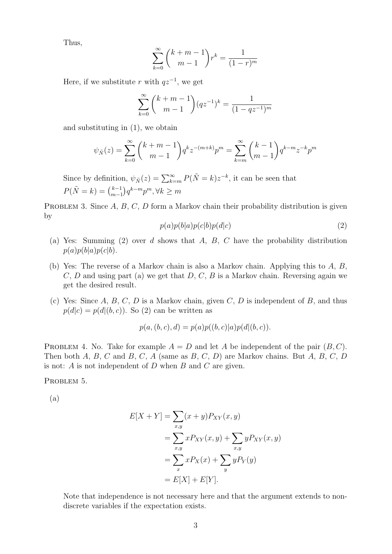Thus,

$$
\sum_{k=0}^{\infty} {k+m-1 \choose m-1} r^{k} = \frac{1}{(1-r)^{m}}
$$

Here, if we substitute r with  $qz^{-1}$ , we get

$$
\sum_{k=0}^{\infty} {k+m-1 \choose m-1} (qz^{-1})^k = \frac{1}{(1-qz^{-1})^m}
$$

and substituting in (1), we obtain

$$
\psi_{\tilde{N}}(z) = \sum_{k=0}^{\infty} {k+m-1 \choose m-1} q^k z^{-(m+k)} p^m = \sum_{k=m}^{\infty} {k-1 \choose m-1} q^{k-m} z^{-k} p^m
$$

Since by definition,  $\psi_{\tilde{N}}(z) = \sum_{k=m}^{\infty} P(\tilde{N} = k) z^{-k}$ , it can be seen that  $P(\tilde{N} = k) = \binom{k-1}{m-1}$  $_{m-1}^{k-1}$ ) $q^{k-m}p^m$ ,  $\forall k \geq m$ 

PROBLEM 3. Since  $A, B, C, D$  form a Markov chain their probability distribution is given by

$$
p(a)p(b|a)p(c|b)p(d|c)
$$
\n<sup>(2)</sup>

- (a) Yes: Summing (2) over d shows that A, B, C have the probability distribution  $p(a)p(b|a)p(c|b).$
- (b) Yes: The reverse of a Markov chain is also a Markov chain. Applying this to A, B,  $C, D$  and using part (a) we get that  $D, C, B$  is a Markov chain. Reversing again we get the desired result.
- (c) Yes: Since A, B, C, D is a Markov chain, given C, D is independent of B, and thus  $p(d|c) = p(d|(b, c))$ . So (2) can be written as

$$
p(a, (b, c), d) = p(a)p((b, c)|a)p(d|(b, c)).
$$

PROBLEM 4. No. Take for example  $A = D$  and let A be independent of the pair  $(B, C)$ . Then both A, B, C and B, C, A (same as B, C, D) are Markov chains. But A, B, C, D is not:  $A$  is not independent of  $D$  when  $B$  and  $C$  are given.

PROBLEM 5.

(a)

$$
E[X+Y] = \sum_{x,y} (x+y)P_{XY}(x,y)
$$
  
= 
$$
\sum_{x,y} xP_{XY}(x,y) + \sum_{x,y} yP_{XY}(x,y)
$$
  
= 
$$
\sum_{x} xP_X(x) + \sum_{y} yP_Y(y)
$$
  
= 
$$
E[X] + E[Y].
$$

Note that independence is not necessary here and that the argument extends to nondiscrete variables if the expectation exists.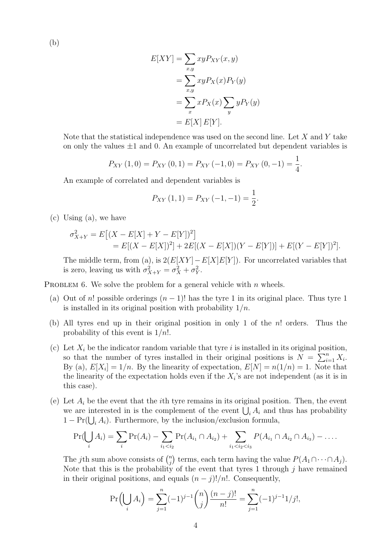(b)

$$
E[XY] = \sum_{x,y} xy P_{XY}(x,y)
$$
  
= 
$$
\sum_{x,y} xy P_X(x) P_Y(y)
$$
  
= 
$$
\sum_x x P_X(x) \sum_y y P_Y(y)
$$
  
= 
$$
E[X] E[Y].
$$

Note that the statistical independence was used on the second line. Let  $X$  and  $Y$  take on only the values  $\pm 1$  and 0. An example of uncorrelated but dependent variables is

$$
P_{XY}(1,0) = P_{XY}(0,1) = P_{XY}(-1,0) = P_{XY}(0,-1) = \frac{1}{4}.
$$

An example of correlated and dependent variables is

$$
P_{XY}(1,1) = P_{XY}(-1,-1) = \frac{1}{2}.
$$

(c) Using (a), we have

$$
\sigma_{X+Y}^2 = E\left[ (X - E[X] + Y - E[Y])^2 \right]
$$
  
= 
$$
E[(X - E[X])^2] + 2E[(X - E[X])(Y - E[Y])] + E[(Y - E[Y])^2].
$$

The middle term, from (a), is  $2(E[XY] - E[X]E[Y])$ . For uncorrelated variables that is zero, leaving us with  $\sigma_{X+Y}^2 = \sigma_X^2 + \sigma_Y^2$ .

PROBLEM 6. We solve the problem for a general vehicle with  $n$  wheels.

- (a) Out of n! possible orderings  $(n-1)!$  has the tyre 1 in its original place. Thus tyre 1 is installed in its original position with probability  $1/n$ .
- (b) All tyres end up in their original position in only 1 of the n! orders. Thus the probability of this event is  $1/n!$ .
- (c) Let  $X_i$  be the indicator random variable that tyre i is installed in its original position, so that the number of tyres installed in their original positions is  $N = \sum_{i=1}^{n} X_i$ . By (a),  $E[X_i] = 1/n$ . By the linearity of expectation,  $E[N] = n(1/n) = 1$ . Note that the linearity of the expectation holds even if the  $X_i$ 's are not independent (as it is in this case).
- (e) Let  $A_i$  be the event that the *i*th tyre remains in its original position. Then, the event we are interested in is the complement of the event  $\bigcup_i A_i$  and thus has probability  $1 - \Pr(\bigcup_i A_i)$ . Furthermore, by the inclusion/exclusion formula,

$$
Pr(\bigcup_i A_i) = \sum_i Pr(A_i) - \sum_{i_1 < i_2} Pr(A_{i_1} \cap A_{i_2}) + \sum_{i_1 < i_2 < i_3} P(A_{i_1} \cap A_{i_2} \cap A_{i_3}) - \dots
$$

The *j*th sum above consists of  $\binom{n}{i}$ <sup>n</sup>) terms, each term having the value  $P(A_1 \cap \cdots \cap A_j)$ . Note that this is the probability of the event that tyres 1 through  $j$  have remained in their original positions, and equals  $(n - j)!/n!$ . Consequently,

$$
\Pr\left(\bigcup_{i} A_{i}\right) = \sum_{j=1}^{n} (-1)^{j-1} {n \choose j} \frac{(n-j)!}{n!} = \sum_{j=1}^{n} (-1)^{j-1} \frac{1}{j!},
$$